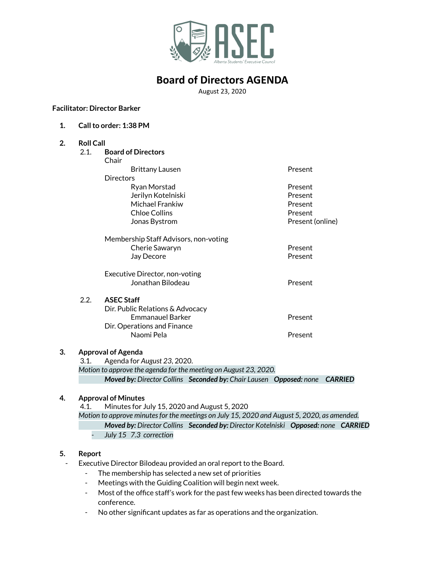

## **Board of Directors AGENDA**

August 23, 2020

**Facilitator: Director Barker**

**1. Callto order: 1:38 PM**

## **2. Roll Call** 2.1. **Board of Directors** Chair Brittany Lausen **Present Directors** Ryan Morstad **Present** Jerilyn Kotelniski Present Michael Frankiw **Present** Chloe Collins Present **Jonas Bystrom**  Present (online) Membership Staff Advisors, non-voting Cherie Sawaryn **Present** Jay Decore **Present** Executive Director, non-voting Jonathan Bilodeau Present 2.2. **ASEC Staff** Dir. Public Relations & Advocacy Emmanauel Barker **Present** Dir. Operations and Finance Naomi Pela **Present**

#### **3. Approval of Agenda**

3.1. Agenda for *August 23*, 2020.

*Motion to approve the agenda for the meeting on August 23, 2020. Moved by: Director Collins Seconded by: Chair Lausen Opposed: none CARRIED*

#### **4. Approval of Minutes**

4.1. Minutes for July 15, 2020 and August 5, 2020

*Motion to approve minutesfor the meetings on July 15, 2020 and August 5, 2020, as amended. Moved by: Director Collins Seconded by: Director Kotelniski Opposed: none CARRIED*

*- July 15 7.3 correction*

#### **5. Report**

- Executive Director Bilodeau provided an oral report to the Board.
	- The membership has selected a new set of priorities
	- Meetings with the Guiding Coalition will begin next week.
	- Most of the office staff's work for the past few weeks has been directed towards the conference.
	- No other significant updates as far as operations and the organization.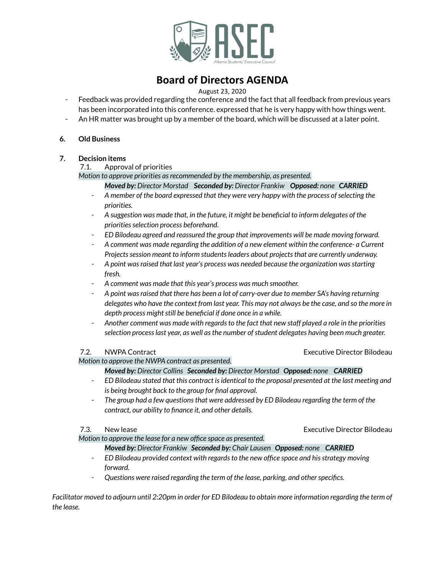

# **Board of Directors AGENDA**

### August 23, 2020

- Feedback was provided regarding the conference and the fact that all feedback from previous years has been incorporated into this conference. expressed that he is very happy with how things went.
- An HR matter was brought up by a member of the board, which will be discussed at a later point.

#### **6. Old Business**

### **7. Decision items**

#### 7.1. Approval of priorities

*Motion to approve priorities asrecommended by the membership, as presented.*

### *Moved by: Director Morstad Seconded by: Director Frankiw Opposed: none CARRIED*

- *- A member of the board expressed that they were very happy with the process ofselecting the priorities.*
- *- A suggestion was made that, in the future, it might be beneficial to inform delegates of the prioritiesselection process beforehand.*
- *- ED Bilodeau agreed and reassured the group that improvements will be made moving forward.*
- *- A comment was made regarding the addition of a new element within the conference- a Current Projectssession meant to inform studentsleaders about projectsthat are currently underway.*
- *- A point wasraised that last year's process was needed because the organization wasstarting fresh.*
- *- A comment was made that this year's process was much smoother.*
- *- A point wasraised that there has been a lot of carry-over due to member SA's having returning* delegates who have the context from last year. This may not always be the case, and so the more in  $de{phi}$  *depth process might still be beneficial if done once in a while.*
- *- Another comment was made with regardsto the fact that new staff played a role in the priorities selection processlast year, as well asthe number ofstudent delegates having been much greater.*

*Motion to approve the NWPA contract as presented.*

*Moved by: Director Collins Seconded by: Director Morstad Opposed: none CARRIED*

- *- ED Bilodeau stated that this contract isidentical to the proposal presented at the last meeting and is being brought back to the group for final approval.*
- *- The group had a few questionsthat were addressed by ED Bilodeau regarding the term of the contract, our ability to finance it, and other details.*

#### 7.3. New lease Executive Director Bilodeau

*Motion to approve the lease for a new office space as presented.*

*Moved by: Director Frankiw Seconded by: Chair Lausen Opposed: none CARRIED*

- *- ED Bilodeau provided context with regardsto the new office space and hisstrategy moving forward.*
- *- Questions were raised regarding the term of the lease, parking, and otherspecifics.*

Facilitator moved to adjourn until 2:20pm in order for ED Bilodeau to obtain more information regarding the term of *the lease.*

7.2. NWPA Contract Executive Director Bilodeau